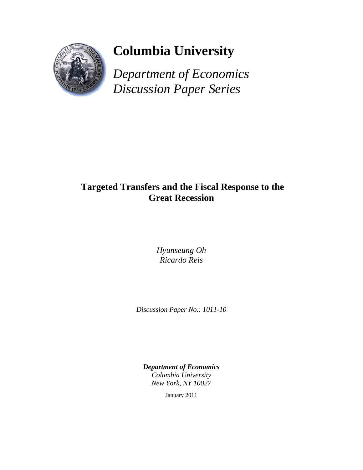

# **Columbia University**

*Department of Economics Discussion Paper Series*

# **Targeted Transfers and the Fiscal Response to the Great Recession**

*Hyunseung Oh Ricardo Reis*

*Discussion Paper No.: 1011-10* 

*Department of Economics Columbia University New York, NY 10027* 

January 2011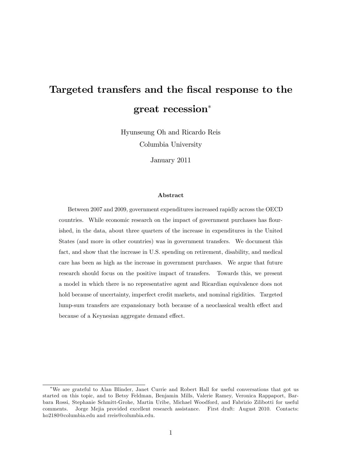# Targeted transfers and the fiscal response to the great recession

Hyunseung Oh and Ricardo Reis Columbia University

January 2011

#### Abstract

Between 2007 and 2009, government expenditures increased rapidly across the OECD countries. While economic research on the impact of government purchases has flourished, in the data, about three quarters of the increase in expenditures in the United States (and more in other countries) was in government transfers. We document this fact, and show that the increase in U.S. spending on retirement, disability, and medical care has been as high as the increase in government purchases. We argue that future research should focus on the positive impact of transfers. Towards this, we present a model in which there is no representative agent and Ricardian equivalence does not hold because of uncertainty, imperfect credit markets, and nominal rigidities. Targeted lump-sum transfers are expansionary both because of a neoclassical wealth effect and because of a Keynesian aggregate demand effect.

We are grateful to Alan Blinder, Janet Currie and Robert Hall for useful conversations that got us started on this topic, and to Betsy Feldman, Benjamin Mills, Valerie Ramey, Veronica Rappaport, Barbara Rossi, Stephanie Schmitt-Grohe, Martin Uribe, Michael Woodford, and Fabrizio Zilibotti for useful comments. Jorge Mejia provided excellent research assistance. First draft: August 2010. Contacts: ho2180@columbia.edu and rreis@columbia.edu.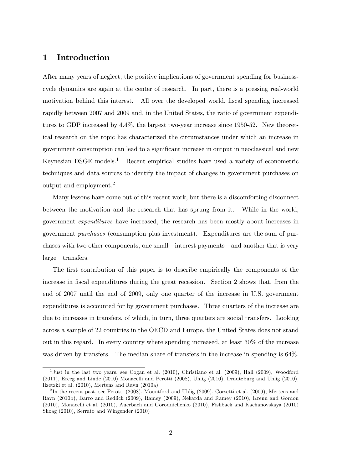## 1 Introduction

After many years of neglect, the positive implications of government spending for businesscycle dynamics are again at the center of research. In part, there is a pressing real-world motivation behind this interest. All over the developed world, fiscal spending increased rapidly between 2007 and 2009 and, in the United States, the ratio of government expenditures to GDP increased by 4.4%, the largest two-year increase since 1950-52. New theoretical research on the topic has characterized the circumstances under which an increase in government consumption can lead to a significant increase in output in neoclassical and new Keynesian DSGE models.<sup>1</sup> Recent empirical studies have used a variety of econometric techniques and data sources to identify the impact of changes in government purchases on output and employment.<sup>2</sup>

Many lessons have come out of this recent work, but there is a discomforting disconnect between the motivation and the research that has sprung from it. While in the world, government expenditures have increased, the research has been mostly about increases in government purchases (consumption plus investment). Expenditures are the sum of purchases with two other components, one small—interest payments—and another that is very large—transfers.

The first contribution of this paper is to describe empirically the components of the increase in fiscal expenditures during the great recession. Section 2 shows that, from the end of 2007 until the end of 2009, only one quarter of the increase in U.S. government expenditures is accounted for by government purchases. Three quarters of the increase are due to increases in transfers, of which, in turn, three quarters are social transfers. Looking across a sample of 22 countries in the OECD and Europe, the United States does not stand out in this regard. In every country where spending increased, at least 30% of the increase was driven by transfers. The median share of transfers in the increase in spending is 64%.

<sup>1</sup> Just in the last two years, see Cogan et al. (2010), Christiano et al. (2009), Hall (2009), Woodford (2011), Erceg and Linde (2010) Monacelli and Perotti (2008), Uhlig (2010), Drautzburg and Uhlig (2010), Ilzetzki et al. (2010), Mertens and Ravn (2010a)

 $^{2}$ In the recent past, see Perotti (2008), Mountford and Uhlig (2009), Corsetti et al. (2009), Mertens and Ravn (2010b), Barro and Redlick (2009), Ramey (2009), Nekarda and Ramey (2010), Krenn and Gordon (2010), Monacelli et al. (2010), Auerbach and Gorodnichenko (2010), Fishback and Kachanovskaya (2010) Shoag (2010), Serrato and Wingender (2010)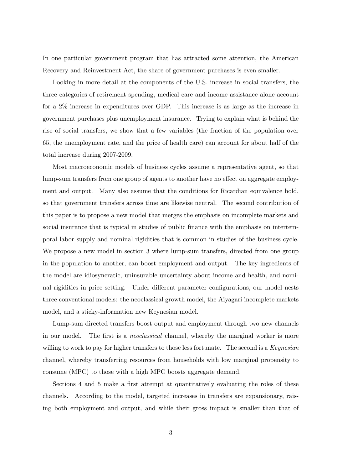In one particular government program that has attracted some attention, the American Recovery and Reinvestment Act, the share of government purchases is even smaller.

Looking in more detail at the components of the U.S. increase in social transfers, the three categories of retirement spending, medical care and income assistance alone account for a 2% increase in expenditures over GDP. This increase is as large as the increase in government purchases plus unemployment insurance. Trying to explain what is behind the rise of social transfers, we show that a few variables (the fraction of the population over 65, the unemployment rate, and the price of health care) can account for about half of the total increase during 2007-2009.

Most macroeconomic models of business cycles assume a representative agent, so that lump-sum transfers from one group of agents to another have no effect on aggregate employment and output. Many also assume that the conditions for Ricardian equivalence hold, so that government transfers across time are likewise neutral. The second contribution of this paper is to propose a new model that merges the emphasis on incomplete markets and social insurance that is typical in studies of public finance with the emphasis on intertemporal labor supply and nominal rigidities that is common in studies of the business cycle. We propose a new model in section 3 where lump-sum transfers, directed from one group in the population to another, can boost employment and output. The key ingredients of the model are idiosyncratic, uninsurable uncertainty about income and health, and nominal rigidities in price setting. Under different parameter configurations, our model nests three conventional models: the neoclassical growth model, the Aiyagari incomplete markets model, and a sticky-information new Keynesian model.

Lump-sum directed transfers boost output and employment through two new channels in our model. The first is a *neoclassical* channel, whereby the marginal worker is more willing to work to pay for higher transfers to those less fortunate. The second is a Keynesian channel, whereby transferring resources from households with low marginal propensity to consume (MPC) to those with a high MPC boosts aggregate demand.

Sections 4 and 5 make a first attempt at quantitatively evaluating the roles of these channels. According to the model, targeted increases in transfers are expansionary, raising both employment and output, and while their gross impact is smaller than that of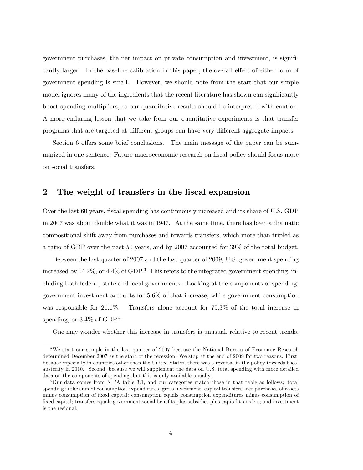government purchases, the net impact on private consumption and investment, is significantly larger. In the baseline calibration in this paper, the overall effect of either form of government spending is small. However, we should note from the start that our simple model ignores many of the ingredients that the recent literature has shown can significantly boost spending multipliers, so our quantitative results should be interpreted with caution. A more enduring lesson that we take from our quantitative experiments is that transfer programs that are targeted at different groups can have very different aggregate impacts.

Section 6 offers some brief conclusions. The main message of the paper can be summarized in one sentence: Future macroeconomic research on fiscal policy should focus more on social transfers.

## 2 The weight of transfers in the fiscal expansion

Over the last 60 years, fiscal spending has continuously increased and its share of U.S. GDP in 2007 was about double what it was in 1947. At the same time, there has been a dramatic compositional shift away from purchases and towards transfers, which more than tripled as a ratio of GDP over the past 50 years, and by 2007 accounted for 39% of the total budget.

Between the last quarter of 2007 and the last quarter of 2009, U.S. government spending increased by  $14.2\%$ , or  $4.4\%$  of GDP.<sup>3</sup> This refers to the integrated government spending, including both federal, state and local governments. Looking at the components of spending, government investment accounts for 5.6% of that increase, while government consumption was responsible for 21.1%. Transfers alone account for 75.3% of the total increase in spending, or  $3.4\%$  of GDP.<sup>4</sup>

One may wonder whether this increase in transfers is unusual, relative to recent trends.

<sup>&</sup>lt;sup>3</sup>We start our sample in the last quarter of 2007 because the National Bureau of Economic Research determined December 2007 as the start of the recession. We stop at the end of 2009 for two reasons. First, because especially in countries other than the United States, there was a reversal in the policy towards fiscal austerity in 2010. Second, because we will supplement the data on U.S. total spending with more detailed data on the components of spending, but this is only available anually.

<sup>4</sup>Our data comes from NIPA table 3.1, and our categories match those in that table as follows: total spending is the sum of consumption expenditures, gross investment, capital transfers, net purchases of assets minus consumption of Öxed capital; consumption equals consumption expenditures minus consumption of fixed capital; transfers equals government social benefits plus subsidies plus capital transfers; and investment is the residual.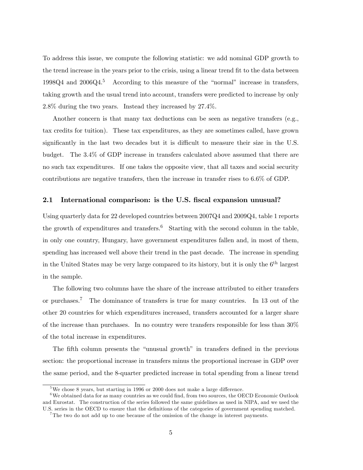To address this issue, we compute the following statistic: we add nominal GDP growth to the trend increase in the years prior to the crisis, using a linear trend fit to the data between  $1998Q4$  and  $2006Q4$ .<sup>5</sup> According to this measure of the "normal" increase in transfers, taking growth and the usual trend into account, transfers were predicted to increase by only 2.8% during the two years. Instead they increased by 27.4%.

Another concern is that many tax deductions can be seen as negative transfers (e.g., tax credits for tuition). These tax expenditures, as they are sometimes called, have grown significantly in the last two decades but it is difficult to measure their size in the U.S. budget. The 3.4% of GDP increase in transfers calculated above assumed that there are no such tax expenditures. If one takes the opposite view, that all taxes and social security contributions are negative transfers, then the increase in transfer rises to 6.6% of GDP.

#### 2.1 International comparison: is the U.S. fiscal expansion unusual?

Using quarterly data for 22 developed countries between 2007Q4 and 2009Q4, table 1 reports the growth of expenditures and transfers.<sup>6</sup> Starting with the second column in the table, in only one country, Hungary, have government expenditures fallen and, in most of them, spending has increased well above their trend in the past decade. The increase in spending in the United States may be very large compared to its history, but it is only the 6<sup>th</sup> largest in the sample.

The following two columns have the share of the increase attributed to either transfers or purchases.<sup>7</sup> The dominance of transfers is true for many countries. In 13 out of the other 20 countries for which expenditures increased, transfers accounted for a larger share of the increase than purchases. In no country were transfers responsible for less than 30% of the total increase in expenditures.

The fifth column presents the "unusual growth" in transfers defined in the previous section: the proportional increase in transfers minus the proportional increase in GDP over the same period, and the 8-quarter predicted increase in total spending from a linear trend

 $5$ We chose 8 years, but starting in 1996 or 2000 does not make a large difference.

 $6$ We obtained data for as many countries as we could find, from two sources, the OECD Economic Outlook and Eurostat. The construction of the series followed the same guidelines as used in NIPA, and we used the U.S. series in the OECD to ensure that the definitions of the categories of government spending matched.

<sup>&</sup>lt;sup>7</sup>The two do not add up to one because of the omission of the change in interest payments.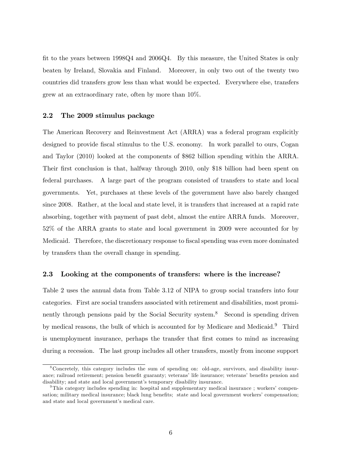fit to the years between  $1998Q4$  and  $2006Q4$ . By this measure, the United States is only beaten by Ireland, Slovakia and Finland. Moreover, in only two out of the twenty two countries did transfers grow less than what would be expected. Everywhere else, transfers grew at an extraordinary rate, often by more than 10%.

#### 2.2 The 2009 stimulus package

The American Recovery and Reinvestment Act (ARRA) was a federal program explicitly designed to provide fiscal stimulus to the U.S. economy. In work parallel to ours, Cogan and Taylor (2010) looked at the components of \$862 billion spending within the ARRA. Their first conclusion is that, halfway through 2010, only \$18 billion had been spent on federal purchases. A large part of the program consisted of transfers to state and local governments. Yet, purchases at these levels of the government have also barely changed since 2008. Rather, at the local and state level, it is transfers that increased at a rapid rate absorbing, together with payment of past debt, almost the entire ARRA funds. Moreover, 52% of the ARRA grants to state and local government in 2009 were accounted for by Medicaid. Therefore, the discretionary response to fiscal spending was even more dominated by transfers than the overall change in spending.

#### 2.3 Looking at the components of transfers: where is the increase?

Table 2 uses the annual data from Table 3.12 of NIPA to group social transfers into four categories. First are social transfers associated with retirement and disabilities, most prominently through pensions paid by the Social Security system.<sup>8</sup> Second is spending driven by medical reasons, the bulk of which is accounted for by Medicare and Medicaid.<sup>9</sup> Third is unemployment insurance, perhaps the transfer that first comes to mind as increasing during a recession. The last group includes all other transfers, mostly from income support

<sup>8</sup>Concretely, this category includes the sum of spending on: old-age, survivors, and disability insurance; railroad retirement; pension benefit guaranty; veterans' life insurance; veterans' benefits pension and disability; and state and local government's temporary disability insurance.

 $9$ This category includes spending in: hospital and supplementary medical insurance; workers' compensation; military medical insurance; black lung benefits; state and local government workers' compensation; and state and local government's medical care.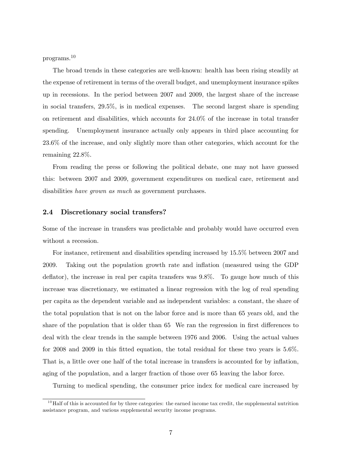programs.<sup>10</sup>

The broad trends in these categories are well-known: health has been rising steadily at the expense of retirement in terms of the overall budget, and unemployment insurance spikes up in recessions. In the period between 2007 and 2009, the largest share of the increase in social transfers, 29.5%, is in medical expenses. The second largest share is spending on retirement and disabilities, which accounts for 24.0% of the increase in total transfer spending. Unemployment insurance actually only appears in third place accounting for 23.6% of the increase, and only slightly more than other categories, which account for the remaining 22.8%.

From reading the press or following the political debate, one may not have guessed this: between 2007 and 2009, government expenditures on medical care, retirement and disabilities *have grown as much* as government purchases.

#### 2.4 Discretionary social transfers?

Some of the increase in transfers was predictable and probably would have occurred even without a recession.

For instance, retirement and disabilities spending increased by 15.5% between 2007 and 2009. Taking out the population growth rate and inflation (measured using the GDP deflator), the increase in real per capita transfers was  $9.8\%$ . To gauge how much of this increase was discretionary, we estimated a linear regression with the log of real spending per capita as the dependent variable and as independent variables: a constant, the share of the total population that is not on the labor force and is more than 65 years old, and the share of the population that is older than 65 We ran the regression in first differences to deal with the clear trends in the sample between 1976 and 2006. Using the actual values for 2008 and 2009 in this fitted equation, the total residual for these two years is 5.6%. That is, a little over one half of the total increase in transfers is accounted for by inflation, aging of the population, and a larger fraction of those over 65 leaving the labor force.

Turning to medical spending, the consumer price index for medical care increased by

 $10$ Half of this is accounted for by three categories: the earned income tax credit, the supplemental nutrition assistance program, and various supplemental security income programs.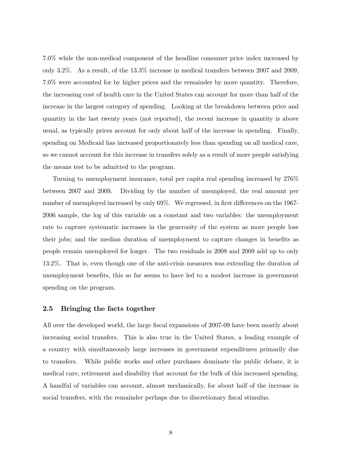7.0% while the non-medical component of the headline consumer price index increased by only 3.2%. As a result, of the 13.3% increase in medical transfers between 2007 and 2009, 7.0% were accounted for by higher prices and the remainder by more quantity. Therefore, the increasing cost of health care in the United States can account for more than half of the increase in the largest category of spending. Looking at the breakdown between price and quantity in the last twenty years (not reported), the recent increase in quantity is above usual, as typically prices account for only about half of the increase in spending. Finally, spending on Medicaid has increased proportionately less than spending on all medical care, so we cannot account for this increase in transfers solely as a result of more people satisfying the means test to be admitted to the program.

Turning to unemployment insurance, total per capita real spending increased by 276% between 2007 and 2009. Dividing by the number of unemployed, the real amount per number of unemployed increased by only 69%. We regressed, in first differences on the 1967-2006 sample, the log of this variable on a constant and two variables: the unemployment rate to capture systematic increases in the generosity of the system as more people lose their jobs; and the median duration of unemployment to capture changes in benefits as people remain unemployed for longer. The two residuals in 2008 and 2009 add up to only 13.2%. That is, even though one of the anti-crisis measures was extending the duration of unemployment benefits, this so far seems to have led to a modest increase in government spending on the program.

#### 2.5 Bringing the facts together

All over the developed world, the large fiscal expansions of 2007-09 have been mostly about increasing social transfers. This is also true in the United States, a leading example of a country with simultaneously large increases in government expenditures primarily due to transfers. While public works and other purchases dominate the public debate, it is medical care, retirement and disability that account for the bulk of this increased spending. A handful of variables can account, almost mechanically, for about half of the increase in social transfers, with the remainder perhaps due to discretionary fiscal stimulus.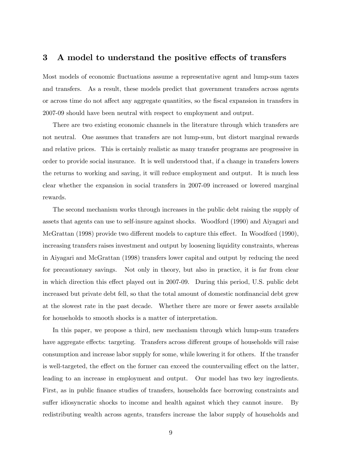## 3 A model to understand the positive effects of transfers

Most models of economic fluctuations assume a representative agent and lump-sum taxes and transfers. As a result, these models predict that government transfers across agents or across time do not affect any aggregate quantities, so the fiscal expansion in transfers in 2007-09 should have been neutral with respect to employment and output.

There are two existing economic channels in the literature through which transfers are not neutral. One assumes that transfers are not lump-sum, but distort marginal rewards and relative prices. This is certainly realistic as many transfer programs are progressive in order to provide social insurance. It is well understood that, if a change in transfers lowers the returns to working and saving, it will reduce employment and output. It is much less clear whether the expansion in social transfers in 2007-09 increased or lowered marginal rewards.

The second mechanism works through increases in the public debt raising the supply of assets that agents can use to self-insure against shocks. Woodford (1990) and Aiyagari and McGrattan (1998) provide two different models to capture this effect. In Woodford (1990), increasing transfers raises investment and output by loosening liquidity constraints, whereas in Aiyagari and McGrattan (1998) transfers lower capital and output by reducing the need for precautionary savings. Not only in theory, but also in practice, it is far from clear in which direction this effect played out in 2007-09. During this period, U.S. public debt increased but private debt fell, so that the total amount of domestic nonfinancial debt grew at the slowest rate in the past decade. Whether there are more or fewer assets available for households to smooth shocks is a matter of interpretation.

In this paper, we propose a third, new mechanism through which lump-sum transfers have aggregate effects: targeting. Transfers across different groups of households will raise consumption and increase labor supply for some, while lowering it for others. If the transfer is well-targeted, the effect on the former can exceed the countervailing effect on the latter, leading to an increase in employment and output. Our model has two key ingredients. First, as in public finance studies of transfers, households face borrowing constraints and suffer idiosyncratic shocks to income and health against which they cannot insure. By redistributing wealth across agents, transfers increase the labor supply of households and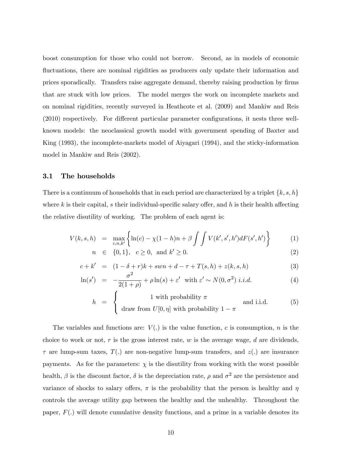boost consumption for those who could not borrow. Second, as in models of economic fluctuations, there are nominal rigidities as producers only update their information and prices sporadically. Transfers raise aggregate demand, thereby raising production by firms that are stuck with low prices. The model merges the work on incomplete markets and on nominal rigidities, recently surveyed in Heathcote et al. (2009) and Mankiw and Reis  $(2010)$  respectively. For different particular parameter configurations, it nests three wellknown models: the neoclassical growth model with government spending of Baxter and King (1993), the incomplete-markets model of Aiyagari (1994), and the sticky-information model in Mankiw and Reis (2002).

#### 3.1 The households

There is a continuum of households that in each period are characterized by a triplet  $\{k, s, h\}$ where k is their capital, s their individual-specific salary offer, and h is their health affecting the relative disutility of working. The problem of each agent is:

$$
V(k, s, h) = \max_{c, n, k'} \left\{ \ln(c) - \chi(1 - h)n + \beta \int \int V(k', s', h') dF(s', h') \right\}
$$
 (1)

$$
n \in \{0, 1\}, \ c \ge 0, \text{ and } k' \ge 0. \tag{2}
$$

$$
c + k' = (1 - \delta + r)k + swn + d - \tau + T(s, h) + z(k, s, h)
$$
\n(3)

$$
\ln(s') = -\frac{\sigma^2}{2(1+\rho)} + \rho \ln(s) + \varepsilon' \quad \text{with } \varepsilon' \sim N(0, \sigma^2) \quad i.i.d. \tag{4}
$$

$$
h = \begin{cases} 1 \text{ with probability } \pi \\ \text{draw from } U[0, \eta] \text{ with probability } 1 - \pi \end{cases}
$$
 and i.i.d. (5)

The variables and functions are:  $V(.)$  is the value function, c is consumption, n is the choice to work or not, r is the gross interest rate, w is the average wage, d are dividends,  $\tau$  are lump-sum taxes,  $T(.)$  are non-negative lump-sum transfers, and  $z(.)$  are insurance payments. As for the parameters:  $\chi$  is the disutility from working with the worst possible health,  $\beta$  is the discount factor,  $\delta$  is the depreciation rate,  $\rho$  and  $\sigma^2$  are the persistence and variance of shocks to salary offers,  $\pi$  is the probability that the person is healthy and  $\eta$ controls the average utility gap between the healthy and the unhealthy. Throughout the paper,  $F(.)$  will denote cumulative density functions, and a prime in a variable denotes its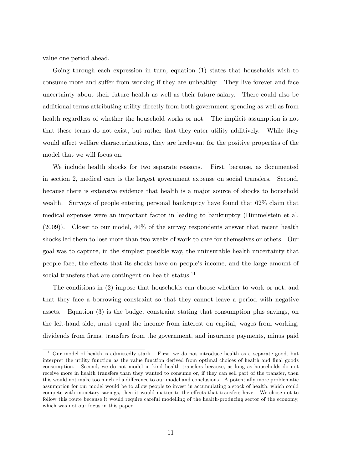value one period ahead.

Going through each expression in turn, equation (1) states that households wish to consume more and suffer from working if they are unhealthy. They live forever and face uncertainty about their future health as well as their future salary. There could also be additional terms attributing utility directly from both government spending as well as from health regardless of whether the household works or not. The implicit assumption is not that these terms do not exist, but rather that they enter utility additively. While they would affect welfare characterizations, they are irrelevant for the positive properties of the model that we will focus on.

We include health shocks for two separate reasons. First, because, as documented in section 2, medical care is the largest government expense on social transfers. Second, because there is extensive evidence that health is a major source of shocks to household wealth. Surveys of people entering personal bankruptcy have found that 62% claim that medical expenses were an important factor in leading to bankruptcy (Himmelstein et al. (2009)). Closer to our model, 40% of the survey respondents answer that recent health shocks led them to lose more than two weeks of work to care for themselves or others. Our goal was to capture, in the simplest possible way, the uninsurable health uncertainty that people face, the effects that its shocks have on people's income, and the large amount of social transfers that are contingent on health status.<sup>11</sup>

The conditions in (2) impose that households can choose whether to work or not, and that they face a borrowing constraint so that they cannot leave a period with negative assets. Equation (3) is the budget constraint stating that consumption plus savings, on the left-hand side, must equal the income from interest on capital, wages from working, dividends from firms, transfers from the government, and insurance payments, minus paid

 $11$ Our model of health is admittedly stark. First, we do not introduce health as a separate good, but interpret the utility function as the value function derived from optimal choices of health and final goods consumption. Second, we do not model in kind health transfers because, as long as households do not receive more in health transfers than they wanted to consume or, if they can sell part of the transfer, then this would not make too much of a difference to our model and conclusions. A potentially more problematic assumption for our model would be to allow people to invest in accumulating a stock of health, which could compete with monetary savings, then it would matter to the effects that transfers have. We chose not to follow this route because it would require careful modelling of the health-producing sector of the economy, which was not our focus in this paper.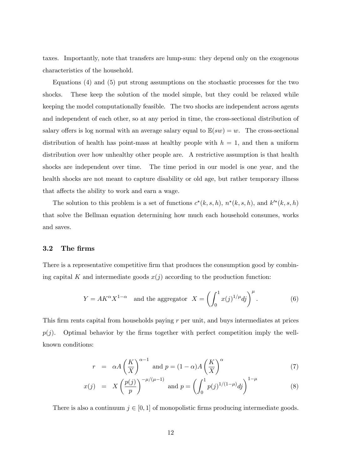taxes. Importantly, note that transfers are lump-sum: they depend only on the exogenous characteristics of the household.

Equations (4) and (5) put strong assumptions on the stochastic processes for the two shocks. These keep the solution of the model simple, but they could be relaxed while keeping the model computationally feasible. The two shocks are independent across agents and independent of each other, so at any period in time, the cross-sectional distribution of salary offers is log normal with an average salary equal to  $\mathbb{E}(sw) = w$ . The cross-sectional distribution of health has point-mass at healthy people with  $h = 1$ , and then a uniform distribution over how unhealthy other people are. A restrictive assumption is that health shocks are independent over time. The time period in our model is one year, and the health shocks are not meant to capture disability or old age, but rather temporary illness that affects the ability to work and earn a wage.

The solution to this problem is a set of functions  $c^*(k, s, h)$ ,  $n^*(k, s, h)$ , and  $k'^*(k, s, h)$ that solve the Bellman equation determining how much each household consumes, works and saves.

#### 3.2 The firms

There is a representative competitive firm that produces the consumption good by combining capital K and intermediate goods  $x(j)$  according to the production function:

$$
Y = AK^{\alpha}X^{1-\alpha} \text{ and the aggregateor } X = \left(\int_0^1 x(j)^{1/\mu}dj\right)^{\mu}.
$$
 (6)

This firm rents capital from households paying  $r$  per unit, and buys intermediates at prices  $p(j)$ . Optimal behavior by the firms together with perfect competition imply the wellknown conditions:

$$
r = \alpha A \left(\frac{K}{X}\right)^{\alpha - 1} \text{ and } p = (1 - \alpha)A \left(\frac{K}{X}\right)^{\alpha} \tag{7}
$$

$$
x(j) = X\left(\frac{p(j)}{p}\right)^{-\mu/(\mu-1)} \text{ and } p = \left(\int_0^1 p(j)^{1/(1-\mu)}dj\right)^{1-\mu} \tag{8}
$$

There is also a continuum  $j \in [0, 1]$  of monopolistic firms producing intermediate goods.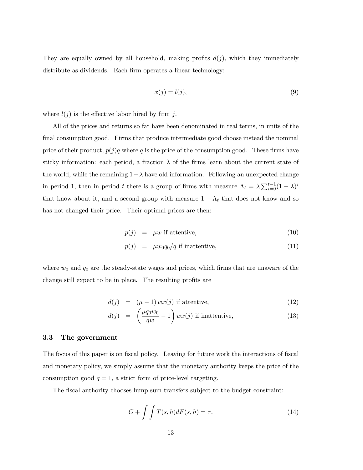They are equally owned by all household, making profits  $d(j)$ , which they immediately distribute as dividends. Each firm operates a linear technology:

$$
x(j) = l(j),\tag{9}
$$

where  $l(j)$  is the effective labor hired by firm j.

All of the prices and returns so far have been denominated in real terms, in units of the final consumption good. Firms that produce intermediate good choose instead the nominal price of their product,  $p(j)q$  where q is the price of the consumption good. These firms have sticky information: each period, a fraction  $\lambda$  of the firms learn about the current state of the world, while the remaining  $1 - \lambda$  have old information. Following an unexpected change in period 1, then in period t there is a group of firms with measure  $\Lambda_t = \lambda \sum_{i=0}^{t-1} (1 - \lambda)^i$ that know about it, and a second group with measure  $1 - \Lambda_t$  that does not know and so has not changed their price. Their optimal prices are then:

$$
p(j) = \mu w \text{ if attribute,}
$$
\n
$$
(10)
$$

$$
p(j) = \mu w_0 q_0 / q \text{ if inattentive}, \qquad (11)
$$

where  $w_0$  and  $q_0$  are the steady-state wages and prices, which firms that are unaware of the change still expect to be in place. The resulting profits are

$$
d(j) = (\mu - 1) wx(j) \text{ if attribute,}
$$
\n(12)

$$
d(j) = \left(\frac{\mu q_0 w_0}{q w} - 1\right) wx(j) \text{ if inattentive,}
$$
\n(13)

#### 3.3 The government

The focus of this paper is on fiscal policy. Leaving for future work the interactions of fiscal and monetary policy, we simply assume that the monetary authority keeps the price of the consumption good  $q = 1$ , a strict form of price-level targeting.

The fiscal authority chooses lump-sum transfers subject to the budget constraint:

$$
G + \int \int T(s, h) dF(s, h) = \tau.
$$
 (14)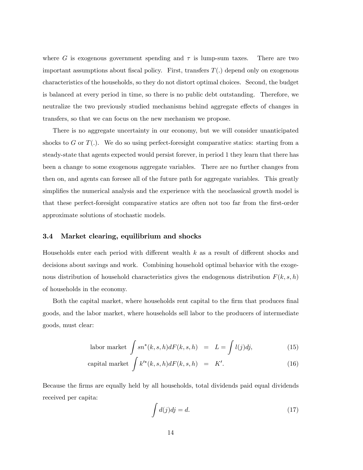where G is exogenous government spending and  $\tau$  is lump-sum taxes. There are two important assumptions about fiscal policy. First, transfers  $T(.)$  depend only on exogenous characteristics of the households, so they do not distort optimal choices. Second, the budget is balanced at every period in time, so there is no public debt outstanding. Therefore, we neutralize the two previously studied mechanisms behind aggregate effects of changes in transfers, so that we can focus on the new mechanism we propose.

There is no aggregate uncertainty in our economy, but we will consider unanticipated shocks to G or  $T(.)$ . We do so using perfect-foresight comparative statics: starting from a steady-state that agents expected would persist forever, in period 1 they learn that there has been a change to some exogenous aggregate variables. There are no further changes from then on, and agents can foresee all of the future path for aggregate variables. This greatly simplifies the numerical analysis and the experience with the neoclassical growth model is that these perfect-foresight comparative statics are often not too far from the first-order approximate solutions of stochastic models.

#### 3.4 Market clearing, equilibrium and shocks

Households enter each period with different wealth  $k$  as a result of different shocks and decisions about savings and work. Combining household optimal behavior with the exogenous distribution of household characteristics gives the endogenous distribution  $F(k, s, h)$ of households in the economy.

Both the capital market, where households rent capital to the firm that produces final goods, and the labor market, where households sell labor to the producers of intermediate goods, must clear:

$$
\text{labor market} \int sn^*(k, s, h) dF(k, s, h) = L = \int l(j) dj, \tag{15}
$$

capital market 
$$
\int k'^*(k, s, h) dF(k, s, h) = K'
$$
. (16)

Because the firms are equally held by all households, total dividends paid equal dividends received per capita:

$$
\int d(j)dj = d.\tag{17}
$$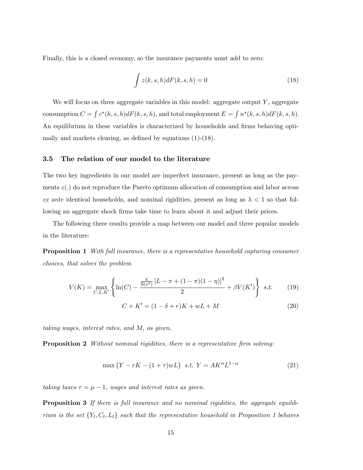Finally, this is a closed economy, so the insurance payments must add to zero:

$$
\int z(k,s,h)dF(k,s,h) = 0
$$
\n(18)

We will focus on three aggregate variables in this model: aggregate output  $Y$ , aggregate consumption  $C = \int c^*(k, s, h) dF(k, s, h)$ , and total employment  $E = \int n^*(k, s, h) dF(k, s, h)$ . An equilibrium in these variables is characterized by households and firms behaving optimally and markets clearing, as defined by equations  $(1)-(18)$ .

#### 3.5 The relation of our model to the literature

The two key ingredients in our model are imperfect insurance, present as long as the payments  $z(.)$  do not reproduce the Pareto optimum allocation of consumption and labor across ex ante identical households, and nominal rigidities, present as long as  $\lambda < 1$  so that following an aggregate shock firms take time to learn about it and adjust their prices.

The following three results provide a map between our model and three popular models in the literature:

Proposition 1 With full insurance, there is a representative household capturing consumer choices, that solves the problem

$$
V(K) = \max_{C,L,K'} \left\{ \ln(C) - \frac{\frac{\chi}{\mathbb{E}(s^2)} \left[ L - \pi + (1 - \pi)(1 - \eta) \right]^2}{2} + \beta V(K') \right\} \ s.t. \tag{19}
$$

$$
C + K' = (1 - \delta + r)K + wL + M
$$
\n(20)

taking wages, interest rates, and  $M$ , as given.

Proposition 2 Without nominal rigidities, there is a representative firm solving:

$$
\max\left\{Y - rK - (1+\tau)wL\right\} \ s.t. \ Y = AK^{\alpha}L^{1-\alpha} \tag{21}
$$

taking taxes  $\tau = \mu - 1$ , wages and interest rates as given.

**Proposition 3** If there is full insurance and no nominal rigidities, the aggregate equilibrium is the set  $\{Y_t, C_t, L_t\}$  such that the representative household in Proposition 1 behaves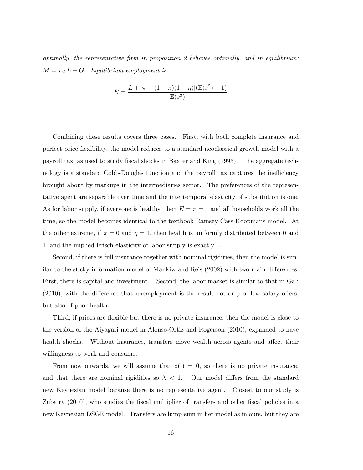optimally, the representative firm in proposition 2 behaves optimally, and in equilibrium:  $M = \tau wL - G$ . Equilibrium employment is:

$$
E = \frac{L + [\pi - (1 - \pi)(1 - \eta)](\mathbb{E}(s^2) - 1)}{\mathbb{E}(s^2)}
$$

Combining these results covers three cases. First, with both complete insurance and perfect price áexibility, the model reduces to a standard neoclassical growth model with a payroll tax, as used to study Öscal shocks in Baxter and King (1993). The aggregate technology is a standard Cobb-Douglas function and the payroll tax captures the inefficiency brought about by markups in the intermediaries sector. The preferences of the representative agent are separable over time and the intertemporal elasticity of substitution is one. As for labor supply, if everyone is healthy, then  $E = \pi = 1$  and all households work all the time, so the model becomes identical to the textbook Ramsey-Cass-Koopmans model. At the other extreme, if  $\pi = 0$  and  $\eta = 1$ , then health is uniformly distributed between 0 and 1, and the implied Frisch elasticity of labor supply is exactly 1.

Second, if there is full insurance together with nominal rigidities, then the model is similar to the sticky-information model of Mankiw and Reis (2002) with two main differences. First, there is capital and investment. Second, the labor market is similar to that in Gali  $(2010)$ , with the difference that unemployment is the result not only of low salary offers, but also of poor health.

Third, if prices are flexible but there is no private insurance, then the model is close to the version of the Aiyagari model in Alonso-Ortiz and Rogerson (2010), expanded to have health shocks. Without insurance, transfers move wealth across agents and affect their willingness to work and consume.

From now onwards, we will assume that  $z(.) = 0$ , so there is no private insurance, and that there are nominal rigidities so  $\lambda$  < 1. Our model differs from the standard new Keynesian model because there is no representative agent. Closest to our study is Zubairy (2010), who studies the fiscal multiplier of transfers and other fiscal policies in a new Keynesian DSGE model. Transfers are lump-sum in her model as in ours, but they are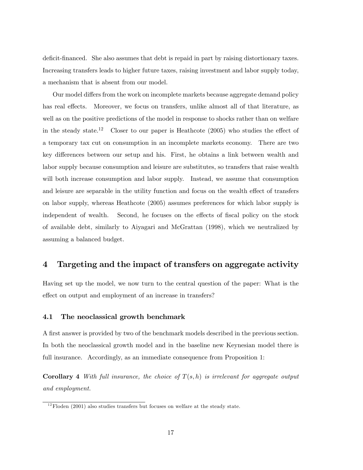deficit-financed. She also assumes that debt is repaid in part by raising distortionary taxes. Increasing transfers leads to higher future taxes, raising investment and labor supply today, a mechanism that is absent from our model.

Our model differs from the work on incomplete markets because aggregate demand policy has real effects. Moreover, we focus on transfers, unlike almost all of that literature, as well as on the positive predictions of the model in response to shocks rather than on welfare in the steady state.<sup>12</sup> Closer to our paper is Heathcote  $(2005)$  who studies the effect of a temporary tax cut on consumption in an incomplete markets economy. There are two key differences between our setup and his. First, he obtains a link between wealth and labor supply because consumption and leisure are substitutes, so transfers that raise wealth will both increase consumption and labor supply. Instead, we assume that consumption and leisure are separable in the utility function and focus on the wealth effect of transfers on labor supply, whereas Heathcote (2005) assumes preferences for which labor supply is independent of wealth. Second, he focuses on the effects of fiscal policy on the stock of available debt, similarly to Aiyagari and McGrattan (1998), which we neutralized by assuming a balanced budget.

## 4 Targeting and the impact of transfers on aggregate activity

Having set up the model, we now turn to the central question of the paper: What is the effect on output and employment of an increase in transfers?

#### 4.1 The neoclassical growth benchmark

A first answer is provided by two of the benchmark models described in the previous section. In both the neoclassical growth model and in the baseline new Keynesian model there is full insurance. Accordingly, as an immediate consequence from Proposition 1:

**Corollary 4** With full insurance, the choice of  $T(s,h)$  is irrelevant for aggregate output and employment.

 $12$ Floden (2001) also studies transfers but focuses on welfare at the steady state.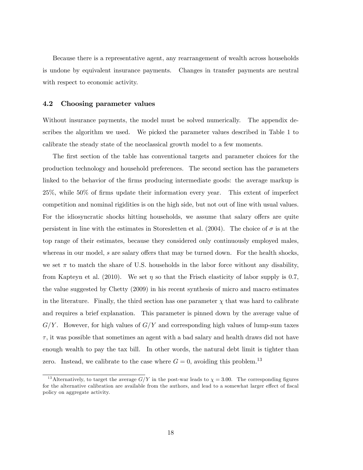Because there is a representative agent, any rearrangement of wealth across households is undone by equivalent insurance payments. Changes in transfer payments are neutral with respect to economic activity.

#### 4.2 Choosing parameter values

Without insurance payments, the model must be solved numerically. The appendix describes the algorithm we used. We picked the parameter values described in Table 1 to calibrate the steady state of the neoclassical growth model to a few moments.

The first section of the table has conventional targets and parameter choices for the production technology and household preferences. The second section has the parameters linked to the behavior of the firms producing intermediate goods: the average markup is 25%, while 50% of Örms update their information every year. This extent of imperfect competition and nominal rigidities is on the high side, but not out of line with usual values. For the idiosyncratic shocks hitting households, we assume that salary offers are quite persistent in line with the estimates in Storesletten et al. (2004). The choice of  $\sigma$  is at the top range of their estimates, because they considered only continuously employed males, whereas in our model, s are salary offers that may be turned down. For the health shocks, we set  $\pi$  to match the share of U.S. households in the labor force without any disability, from Kapteyn et al. (2010). We set  $\eta$  so that the Frisch elasticity of labor supply is 0.7, the value suggested by Chetty (2009) in his recent synthesis of micro and macro estimates in the literature. Finally, the third section has one parameter  $\chi$  that was hard to calibrate and requires a brief explanation. This parameter is pinned down by the average value of  $G/Y$ . However, for high values of  $G/Y$  and corresponding high values of lump-sum taxes  $\tau$ , it was possible that sometimes an agent with a bad salary and health draws did not have enough wealth to pay the tax bill. In other words, the natural debt limit is tighter than zero. Instead, we calibrate to the case where  $G = 0$ , avoiding this problem.<sup>13</sup>

<sup>&</sup>lt;sup>13</sup> Alternatively, to target the average  $G/Y$  in the post-war leads to  $\chi = 3.00$ . The corresponding figures for the alternative calibration are available from the authors, and lead to a somewhat larger effect of fiscal policy on aggregate activity.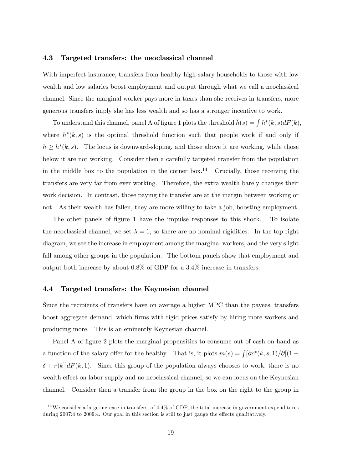#### 4.3 Targeted transfers: the neoclassical channel

With imperfect insurance, transfers from healthy high-salary households to those with low wealth and low salaries boost employment and output through what we call a neoclassical channel. Since the marginal worker pays more in taxes than she receives in transfers, more generous transfers imply she has less wealth and so has a stronger incentive to work.

To understand this channel, panel A of figure 1 plots the threshold  $\hat{h}(s) = \int h^*(k, s)dF(k)$ , where  $h^*(k, s)$  is the optimal threshold function such that people work if and only if  $h \geq h^*(k, s)$ . The locus is downward-sloping, and those above it are working, while those below it are not working. Consider then a carefully targeted transfer from the population in the middle box to the population in the corner box.<sup>14</sup> Crucially, those receiving the transfers are very far from ever working. Therefore, the extra wealth barely changes their work decision. In contrast, those paying the transfer are at the margin between working or not. As their wealth has fallen, they are more willing to take a job, boosting employment.

The other panels of figure 1 have the impulse responses to this shock. To isolate the neoclassical channel, we set  $\lambda = 1$ , so there are no nominal rigidities. In the top right diagram, we see the increase in employment among the marginal workers, and the very slight fall among other groups in the population. The bottom panels show that employment and output both increase by about 0.8% of GDP for a 3.4% increase in transfers.

#### 4.4 Targeted transfers: the Keynesian channel

Since the recipients of transfers have on average a higher MPC than the payees, transfers boost aggregate demand, which firms with rigid prices satisfy by hiring more workers and producing more. This is an eminently Keynesian channel.

Panel A of figure 2 plots the marginal propensities to consume out of cash on hand as a function of the salary offer for the healthy. That is, it plots  $m(s) = \int [\partial c^*(k, s, 1)/\partial [(1 \delta + r/k$ ]dF(k, 1). Since this group of the population always chooses to work, there is no wealth effect on labor supply and no neoclassical channel, so we can focus on the Keynesian channel. Consider then a transfer from the group in the box on the right to the group in

 $14$ We consider a large increase in transfers, of  $4.4\%$  of GDP, the total increase in government expenditures during 2007:4 to 2009:4. Our goal in this section is still to just gauge the effects qualitatively.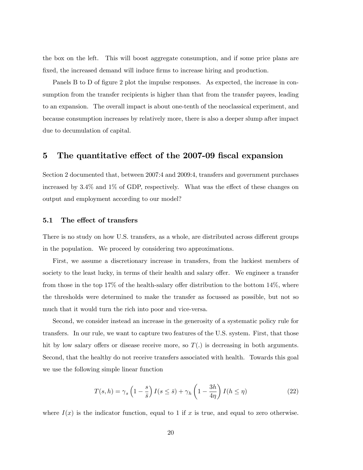the box on the left. This will boost aggregate consumption, and if some price plans are fixed, the increased demand will induce firms to increase hiring and production.

Panels B to D of figure 2 plot the impulse responses. As expected, the increase in consumption from the transfer recipients is higher than that from the transfer payees, leading to an expansion. The overall impact is about one-tenth of the neoclassical experiment, and because consumption increases by relatively more, there is also a deeper slump after impact due to decumulation of capital.

### 5 The quantitative effect of the 2007-09 fiscal expansion

Section 2 documented that, between 2007:4 and 2009:4, transfers and government purchases increased by  $3.4\%$  and  $1\%$  of GDP, respectively. What was the effect of these changes on output and employment according to our model?

#### 5.1 The effect of transfers

There is no study on how U.S. transfers, as a whole, are distributed across different groups in the population. We proceed by considering two approximations.

First, we assume a discretionary increase in transfers, from the luckiest members of society to the least lucky, in terms of their health and salary offer. We engineer a transfer from those in the top 17% of the health-salary offer distribution to the bottom  $14\%$ , where the thresholds were determined to make the transfer as focussed as possible, but not so much that it would turn the rich into poor and vice-versa.

Second, we consider instead an increase in the generosity of a systematic policy rule for transfers. In our rule, we want to capture two features of the U.S. system. First, that those hit by low salary offers or disease receive more, so  $T(.)$  is decreasing in both arguments. Second, that the healthy do not receive transfers associated with health. Towards this goal we use the following simple linear function

$$
T(s,h) = \gamma_s \left(1 - \frac{s}{\bar{s}}\right) I(s \le \bar{s}) + \gamma_h \left(1 - \frac{3h}{4\eta}\right) I(h \le \eta)
$$
\n<sup>(22)</sup>

where  $I(x)$  is the indicator function, equal to 1 if x is true, and equal to zero otherwise.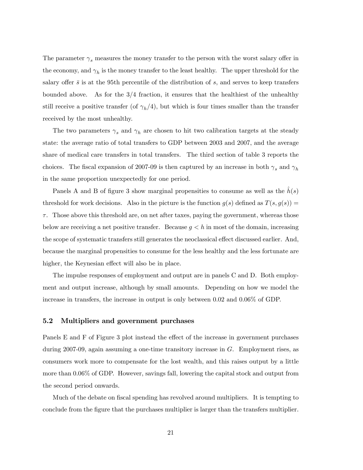The parameter  $\gamma_s$  measures the money transfer to the person with the worst salary offer in the economy, and  $\gamma_h$  is the money transfer to the least healthy. The upper threshold for the salary offer  $\bar{s}$  is at the 95th percentile of the distribution of s, and serves to keep transfers bounded above. As for the  $3/4$  fraction, it ensures that the healthiest of the unhealthy still receive a positive transfer (of  $\gamma_h/4$ ), but which is four times smaller than the transfer received by the most unhealthy.

The two parameters  $\gamma_s$  and  $\gamma_h$  are chosen to hit two calibration targets at the steady state: the average ratio of total transfers to GDP between 2003 and 2007, and the average share of medical care transfers in total transfers. The third section of table 3 reports the choices. The fiscal expansion of 2007-09 is then captured by an increase in both  $\gamma_s$  and  $\gamma_h$ in the same proportion unexpectedly for one period.

Panels A and B of figure 3 show marginal propensities to consume as well as the  $h(s)$ threshold for work decisions. Also in the picture is the function  $g(s)$  defined as  $T(s, g(s)) =$  $\tau$ . Those above this threshold are, on net after taxes, paying the government, whereas those below are receiving a net positive transfer. Because  $g < h$  in most of the domain, increasing the scope of systematic transfers still generates the neoclassical effect discussed earlier. And, because the marginal propensities to consume for the less healthy and the less fortunate are higher, the Keynesian effect will also be in place.

The impulse responses of employment and output are in panels C and D. Both employment and output increase, although by small amounts. Depending on how we model the increase in transfers, the increase in output is only between 0.02 and 0.06% of GDP.

#### 5.2 Multipliers and government purchases

Panels E and F of Figure 3 plot instead the effect of the increase in government purchases during 2007-09, again assuming a one-time transitory increase in  $G$ . Employment rises, as consumers work more to compensate for the lost wealth, and this raises output by a little more than 0.06% of GDP. However, savings fall, lowering the capital stock and output from the second period onwards.

Much of the debate on fiscal spending has revolved around multipliers. It is tempting to conclude from the Ögure that the purchases multiplier is larger than the transfers multiplier.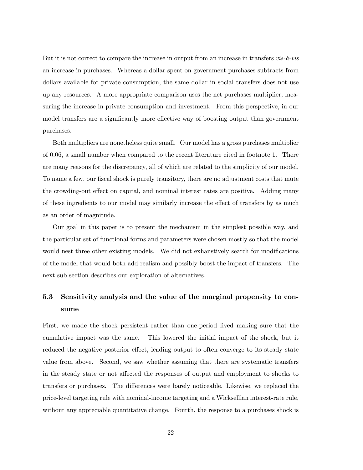But it is not correct to compare the increase in output from an increase in transfers  $vis-\hat{a}-vis$ an increase in purchases. Whereas a dollar spent on government purchases subtracts from dollars available for private consumption, the same dollar in social transfers does not use up any resources. A more appropriate comparison uses the net purchases multiplier, measuring the increase in private consumption and investment. From this perspective, in our model transfers are a significantly more effective way of boosting output than government purchases.

Both multipliers are nonetheless quite small. Our model has a gross purchases multiplier of 0.06, a small number when compared to the recent literature cited in footnote 1. There are many reasons for the discrepancy, all of which are related to the simplicity of our model. To name a few, our fiscal shock is purely transitory, there are no adjustment costs that mute the crowding-out effect on capital, and nominal interest rates are positive. Adding many of these ingredients to our model may similarly increase the effect of transfers by as much as an order of magnitude.

Our goal in this paper is to present the mechanism in the simplest possible way, and the particular set of functional forms and parameters were chosen mostly so that the model would nest three other existing models. We did not exhaustively search for modifications of the model that would both add realism and possibly boost the impact of transfers. The next sub-section describes our exploration of alternatives.

# 5.3 Sensitivity analysis and the value of the marginal propensity to consume

First, we made the shock persistent rather than one-period lived making sure that the cumulative impact was the same. This lowered the initial impact of the shock, but it reduced the negative posterior effect, leading output to often converge to its steady state value from above. Second, we saw whether assuming that there are systematic transfers in the steady state or not affected the responses of output and employment to shocks to transfers or purchases. The differences were barely noticeable. Likewise, we replaced the price-level targeting rule with nominal-income targeting and a Wicksellian interest-rate rule, without any appreciable quantitative change. Fourth, the response to a purchases shock is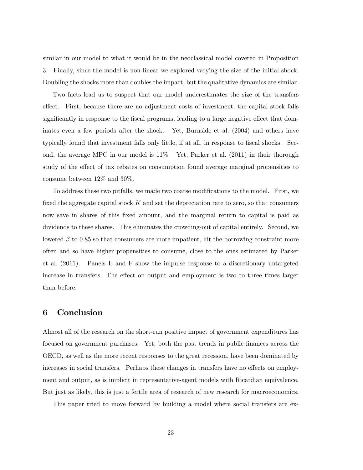similar in our model to what it would be in the neoclassical model covered in Proposition 3. Finally, since the model is non-linear we explored varying the size of the initial shock. Doubling the shocks more than doubles the impact, but the qualitative dynamics are similar.

Two facts lead us to suspect that our model underestimates the size of the transfers effect. First, because there are no adjustment costs of investment, the capital stock falls significantly in response to the fiscal programs, leading to a large negative effect that dominates even a few periods after the shock. Yet, Burnside et al. (2004) and others have typically found that investment falls only little, if at all, in response to fiscal shocks. Second, the average MPC in our model is 11%. Yet, Parker et al. (2011) in their thorough study of the effect of tax rebates on consumption found average marginal propensities to consume between 12% and 30%.

To address these two pitfalls, we made two coarse modifications to the model. First, we fixed the aggregate capital stock  $K$  and set the depreciation rate to zero, so that consumers now save in shares of this fixed amount, and the marginal return to capital is paid as dividends to these shares. This eliminates the crowding-out of capital entirely. Second, we lowered  $\beta$  to 0.85 so that consumers are more impatient, hit the borrowing constraint more often and so have higher propensities to consume, close to the ones estimated by Parker et al. (2011). Panels E and F show the impulse response to a discretionary untargeted increase in transfers. The effect on output and employment is two to three times larger than before.

## 6 Conclusion

Almost all of the research on the short-run positive impact of government expenditures has focused on government purchases. Yet, both the past trends in public finances across the OECD, as well as the more recent responses to the great recession, have been dominated by increases in social transfers. Perhaps these changes in transfers have no effects on employment and output, as is implicit in representative-agent models with Ricardian equivalence. But just as likely, this is just a fertile area of research of new research for macroeconomics.

This paper tried to move forward by building a model where social transfers are ex-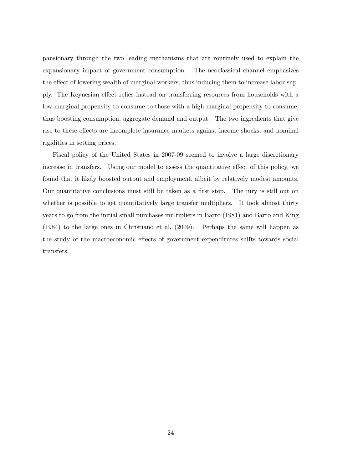pansionary through the two leading mechanisms that are routinely used to explain the expansionary impact of government consumption. The neoclassical channel emphasizes the effect of lowering wealth of marginal workers, thus inducing them to increase labor supply. The Keynesian effect relies instead on transferring resources from households with a low marginal propensity to consume to those with a high marginal propensity to consume, thus boosting consumption, aggregate demand and output. The two ingredients that give rise to these effects are incomplete insurance markets against income shocks, and nominal rigidities in setting prices.

Fiscal policy of the United States in 2007-09 seemed to involve a large discretionary increase in transfers. Using our model to assess the quantitative effect of this policy, we found that it likely boosted output and employment, albeit by relatively modest amounts. Our quantitative conclusions must still be taken as a first step. The jury is still out on whether is possible to get quantitatively large transfer multipliers. It took almost thirty years to go from the initial small purchases multipliers in Barro (1981) and Barro and King (1984) to the large ones in Christiano et al. (2009). Perhaps the same will happen as the study of the macroeconomic effects of government expenditures shifts towards social transfers.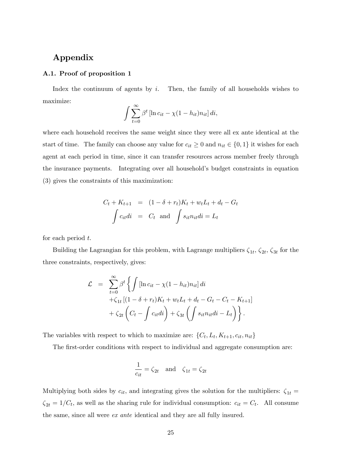# Appendix

#### A.1. Proof of proposition 1

Index the continuum of agents by i. Then, the family of all households wishes to maximize:

$$
\int \sum_{t=0}^{\infty} \beta^t \left[ \ln c_{it} - \chi (1 - h_{it}) n_{it} \right] di,
$$

where each household receives the same weight since they were all ex ante identical at the start of time. The family can choose any value for  $c_{it} \geq 0$  and  $n_{it} \in \{0, 1\}$  it wishes for each agent at each period in time, since it can transfer resources across member freely through the insurance payments. Integrating over all household's budget constraints in equation (3) gives the constraints of this maximization:

$$
C_t + K_{t+1} = (1 - \delta + r_t)K_t + w_t L_t + d_t - G_t
$$

$$
\int c_{it}di = C_t \text{ and } \int s_{it}ni_{it}di = L_t
$$

for each period  $t$ .

Building the Lagrangian for this problem, with Lagrange multipliers  $\zeta_{1t}$ ,  $\zeta_{2t}$ ,  $\zeta_{3t}$  for the three constraints, respectively, gives:

$$
\mathcal{L} = \sum_{t=0}^{\infty} \beta^t \left\{ \int \left[ \ln c_{it} - \chi (1 - h_{it}) n_{it} \right] di \n+ \zeta_{1t} \left[ (1 - \delta + r_t) K_t + w_t L_t + d_t - G_t - C_t - K_{t+1} \right] \n+ \zeta_{2t} \left( C_t - \int c_{it} di \right) + \zeta_{3t} \left( \int s_{it} n_{it} di - L_t \right) \right\}.
$$

The variables with respect to which to maximize are:  $\{C_t, L_t, K_{t+1}, c_{it}, n_{it}\}$ 

The first-order conditions with respect to individual and aggregate consumption are:

$$
\frac{1}{c_{it}} = \zeta_{2t} \quad \text{and} \quad \zeta_{1t} = \zeta_{2t}
$$

Multiplying both sides by  $c_{it}$ , and integrating gives the solution for the multipliers:  $\zeta_{1t}$  =  $\zeta_{2t} = 1/C_t$ , as well as the sharing rule for individual consumption:  $c_{it} = C_t$ . All consume the same, since all were ex ante identical and they are all fully insured.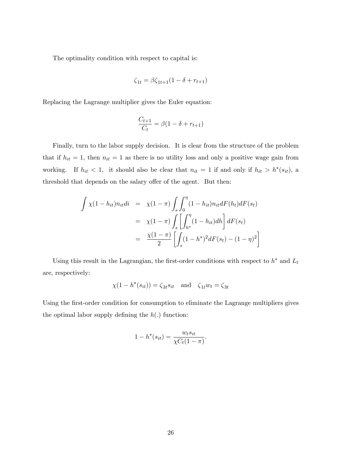The optimality condition with respect to capital is:

$$
\zeta_{1t} = \beta \zeta_{1t+1} (1 - \delta + r_{t+1})
$$

Replacing the Lagrange multiplier gives the Euler equation:

$$
\frac{C_{t+1}}{C_t} = \beta(1 - \delta + r_{t+1})
$$

Finally, turn to the labor supply decision. It is clear from the structure of the problem that if  $h_{it} = 1$ , then  $n_{it} = 1$  as there is no utility loss and only a positive wage gain from working. If  $h_{it} < 1$ , it should also be clear that  $n_{it} = 1$  if and only if  $h_{it} > h^*(s_{it})$ , a threshold that depends on the salary offer of the agent. But then:

$$
\int \chi(1 - h_{it}) n_{it} di = \chi(1 - \pi) \int_s \int_0^{\eta} (1 - h_{it}) n_{it} dF(h_t) dF(s_t)
$$
  
=  $\chi(1 - \pi) \int_s \left[ \int_{h^*}^{\eta} (1 - h_{it}) dh \right] dF(s_t)$   
=  $\frac{\chi(1 - \pi)}{2} \left[ \int_s (1 - h^*)^2 dF(s_t) - (1 - \eta)^2 \right]$ 

Using this result in the Lagrangian, the first-order conditions with respect to  $h^*$  and  $L_t$ are, respectively:

$$
\chi(1 - h^*(s_{it})) = \zeta_{3t} s_{it} \quad \text{and} \quad \zeta_{1t} w_t = \zeta_{3t}
$$

Using the first-order condition for consumption to eliminate the Lagrange multipliers gives the optimal labor supply defining the  $h(.)$  function:

$$
1 - h^*(s_{it}) = \frac{w_ts_{it}}{\chi C_t(1-\pi)}.
$$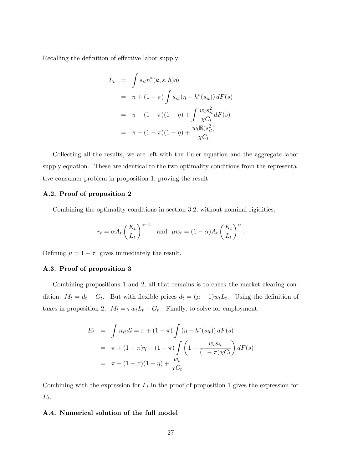Recalling the definition of effective labor supply:

$$
L_t = \int s_{it} n^*(k, s, h) di
$$
  

$$
= \pi + (1 - \pi) \int s_{it} (\eta - h^*(s_{it})) dF(s)
$$
  

$$
= \pi - (1 - \pi)(1 - \eta) + \int \frac{w_t s_{it}^2}{\chi C_t} dF(s)
$$
  

$$
= \pi - (1 - \pi)(1 - \eta) + \frac{w_t \mathbb{E}(s_{it}^2)}{\chi C_t}
$$

Collecting all the results, we are left with the Euler equation and the aggregate labor supply equation. These are identical to the two optimality conditions from the representative consumer problem in proposition 1, proving the result.

#### A.2. Proof of proposition 2

Combining the optimality conditions in section 3.2, without nominal rigidities:

$$
r_t = \alpha A_t \left(\frac{K_t}{L_t}\right)^{\alpha - 1}
$$
 and  $\mu w_t = (1 - \alpha) A_t \left(\frac{K_t}{L_t}\right)^{\alpha}$ .

Defining  $\mu = 1 + \tau$  gives immediately the result.

#### A.3. Proof of proposition 3

Combining propositions 1 and 2, all that remains is to check the market clearing condition:  $M_t = d_t - G_t$ . But with flexible prices  $d_t = (\mu - 1) w_t L_t$ . Using the definition of taxes in proposition 2,  $M_t = \tau w_t L_t - G_t$ . Finally, to solve for employment:

$$
E_t = \int n_{it}di = \pi + (1 - \pi) \int (\eta - h^*(s_{it})) dF(s)
$$
  
=  $\pi + (1 - \pi)\eta - (1 - \pi) \int \left(1 - \frac{w_t s_{it}}{(1 - \pi)\chi C_t}\right) dF(s)$   
=  $\pi - (1 - \pi)(1 - \eta) + \frac{w_t}{\chi C_t}.$ 

Combining with the expression for  $L_t$  in the proof of proposition 1 gives the expression for  $E_t$ .

#### A.4. Numerical solution of the full model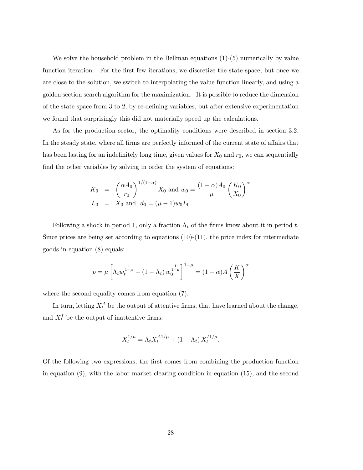We solve the household problem in the Bellman equations  $(1)-(5)$  numerically by value function iteration. For the first few iterations, we discretize the state space, but once we are close to the solution, we switch to interpolating the value function linearly, and using a golden section search algorithm for the maximization. It is possible to reduce the dimension of the state space from  $3$  to  $2$ , by re-defining variables, but after extensive experimentation we found that surprisingly this did not materially speed up the calculations.

As for the production sector, the optimality conditions were described in section 3.2. In the steady state, where all firms are perfectly informed of the current state of affairs that has been lasting for an indefinitely long time, given values for  $X_0$  and  $r_0$ , we can sequentially find the other variables by solving in order the system of equations:

$$
K_0 = \left(\frac{\alpha A_0}{r_0}\right)^{1/(1-\alpha)} X_0 \text{ and } w_0 = \frac{(1-\alpha)A_0}{\mu} \left(\frac{K_0}{X_0}\right)^{\alpha}
$$
  

$$
L_0 = X_0 \text{ and } d_0 = (\mu - 1)w_0 L_0
$$

Following a shock in period 1, only a fraction  $\Lambda_t$  of the firms know about it in period t. Since prices are being set according to equations  $(10)-(11)$ , the price index for intermediate goods in equation (8) equals:

$$
p = \mu \left[ \Lambda_t w_t^{\frac{1}{1-\mu}} + (1 - \Lambda_t) w_0^{\frac{1}{1-\mu}} \right]^{1-\mu} = (1 - \alpha) A \left( \frac{K}{X} \right)^{\alpha}
$$

where the second equality comes from equation (7).

In turn, letting  $X_t^A$  be the output of attentive firms, that have learned about the change, and  $X_t^I$  be the output of inattentive firms:

$$
X_t^{1/\mu} = \Lambda_t X_t^{A1/\mu} + (1 - \Lambda_t) X_t^{I1/\mu}.
$$

Of the following two expressions, the first comes from combining the production function in equation (9), with the labor market clearing condition in equation (15), and the second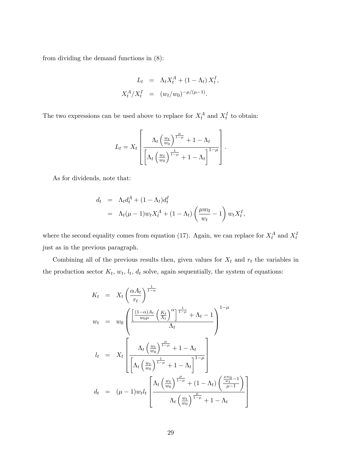from dividing the demand functions in (8):

$$
L_t = \Lambda_t X_t^A + (1 - \Lambda_t) X_t^I,
$$
  

$$
X_t^A / X_t^I = (w_t / w_0)^{-\mu/(\mu - 1)}.
$$

The two expressions can be used above to replace for  $X_t^A$  and  $X_t^I$  to obtain:

$$
L_t = X_t \left[ \frac{\Lambda_t \left( \frac{w_t}{w_0} \right)^{\frac{\mu}{1-\mu}} + 1 - \Lambda_t}{\left[ \Lambda_t \left( \frac{w_t}{w_0} \right)^{\frac{1}{1-\mu}} + 1 - \Lambda_t \right]^{1-\mu}} \right].
$$

As for dividends, note that:

$$
d_t = \Lambda_t d_t^A + (1 - \Lambda_t) d_t^I
$$
  
=  $\Lambda_t (\mu - 1) w_t X_t^A + (1 - \Lambda_t) \left( \frac{\mu w_0}{w_t} - 1 \right) w_t X_t^I,$ 

where the second equality comes from equation (17). Again, we can replace for  $X_t^A$  and  $X_t^I$ just as in the previous paragraph.

Combining all of the previous results then, given values for  $X_t$  and  $r_t$  the variables in the production sector  $K_t$ ,  $w_t$ ,  $l_t$ ,  $d_t$  solve, again sequentially, the system of equations:

$$
K_{t} = X_{t} \left(\frac{\alpha A_{t}}{r_{t}}\right)^{\frac{1}{1-\alpha}}
$$
\n
$$
w_{t} = w_{0} \left(\frac{\left[\frac{(1-\alpha)A_{t}}{w_{0}\mu}\left(\frac{K_{t}}{X_{t}}\right)^{\alpha}\right]^{\frac{1}{1-\mu}} + \Lambda_{t} - 1}{\Lambda_{t}}\right)^{1-\mu}
$$
\n
$$
l_{t} = X_{t} \left[\frac{\Lambda_{t}\left(\frac{w_{t}}{w_{0}}\right)^{\frac{\mu}{1-\mu}} + 1 - \Lambda_{t}}{\left[\Lambda_{t}\left(\frac{w_{t}}{w_{0}}\right)^{\frac{1}{1-\mu}} + 1 - \Lambda_{t}\right]^{1-\mu}}\right]
$$
\n
$$
d_{t} = (\mu - 1)w_{t}l_{t} \left[\frac{\Lambda_{t}\left(\frac{w_{t}}{w_{0}}\right)^{\frac{\mu}{1-\mu}} + (1 - \Lambda_{t})\left(\frac{\mu w_{0}}{\mu - 1}\right)}{\Lambda_{t}\left(\frac{w_{t}}{w_{0}}\right)^{\frac{\mu}{1-\mu}} + 1 - \Lambda_{t}}\right]
$$

3  $\left| \right|$  $\mathbf{I}$  $\mathbf{I}$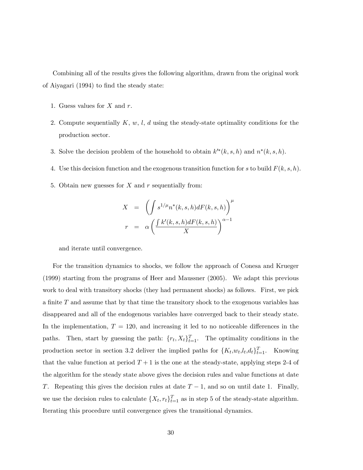Combining all of the results gives the following algorithm, drawn from the original work of Aiyagari (1994) to find the steady state:

- 1. Guess values for  $X$  and  $r$ .
- 2. Compute sequentially  $K, w, l, d$  using the steady-state optimality conditions for the production sector.
- 3. Solve the decision problem of the household to obtain  $k'^*(k, s, h)$  and  $n^*(k, s, h)$ .
- 4. Use this decision function and the exogenous transition function for s to build  $F(k, s, h)$ .
- 5. Obtain new guesses for  $X$  and  $r$  sequentially from:

$$
X = \left( \int s^{1/\mu} n^*(k, s, h) dF(k, s, h) \right)^{\mu}
$$

$$
r = \alpha \left( \frac{\int k'(k, s, h) dF(k, s, h)}{X} \right)^{\alpha - 1}
$$

and iterate until convergence.

For the transition dynamics to shocks, we follow the approach of Conesa and Krueger (1999) starting from the programs of Heer and Maussner (2005). We adapt this previous work to deal with transitory shocks (they had permanent shocks) as follows. First, we pick a finite  $T$  and assume that by that time the transitory shock to the exogenous variables has disappeared and all of the endogenous variables have converged back to their steady state. In the implementation,  $T = 120$ , and increasing it led to no noticeable differences in the paths. Then, start by guessing the path:  $\{r_t, X_t\}_{t=1}^T$ . The optimality conditions in the production sector in section 3.2 deliver the implied paths for  $\{K_t, w_t, l_t, d_t\}_{t=1}^T$ . Knowing that the value function at period  $T + 1$  is the one at the steady-state, applying steps 2-4 of the algorithm for the steady state above gives the decision rules and value functions at date T. Repeating this gives the decision rules at date  $T-1$ , and so on until date 1. Finally, we use the decision rules to calculate  $\{X_t, r_t\}_{t=1}^T$  as in step 5 of the steady-state algorithm. Iterating this procedure until convergence gives the transitional dynamics.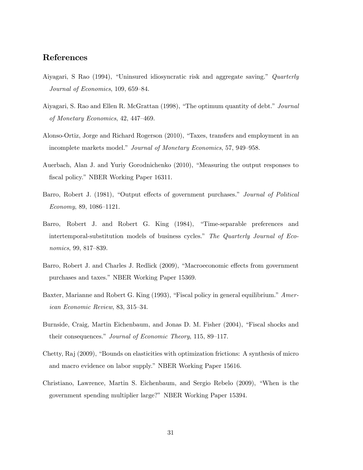# References

- Aiyagari, S Rao  $(1994)$ , "Uninsured idiosyncratic risk and aggregate saving." Quarterly Journal of Economics, 109, 659–84.
- Aiyagari, S. Rao and Ellen R. McGrattan (1998), "The optimum quantity of debt." Journal of Monetary Economics,  $42, 447-469$ .
- Alonso-Ortiz, Jorge and Richard Rogerson (2010), "Taxes, transfers and employment in an incomplete markets model." Journal of Monetary Economics, 57, 949–958.
- Auerbach, Alan J. and Yuriy Gorodnichenko (2010), "Measuring the output responses to fiscal policy." NBER Working Paper 16311.
- Barro, Robert J. (1981), "Output effects of government purchases." Journal of Political  $Economy, 89, 1086–1121.$
- Barro, Robert J. and Robert G. King (1984), "Time-separable preferences and intertemporal-substitution models of business cycles." The Quarterly Journal of Economics, 99, 817–839.
- Barro, Robert J. and Charles J. Redlick (2009), "Macroeconomic effects from government purchases and taxes." NBER Working Paper 15369.
- Baxter, Marianne and Robert G. King  $(1993)$ , "Fiscal policy in general equilibrium." American Economic Review, 83, 315–34.
- Burnside, Craig, Martin Eichenbaum, and Jonas D. M. Fisher (2004), "Fiscal shocks and their consequences." Journal of Economic Theory, 115, 89–117.
- Chetty, Raj (2009), "Bounds on elasticities with optimization frictions: A synthesis of micro and macro evidence on labor supply." NBER Working Paper 15616.
- Christiano, Lawrence, Martin S. Eichenbaum, and Sergio Rebelo (2009), "When is the government spending multiplier large?î NBER Working Paper 15394.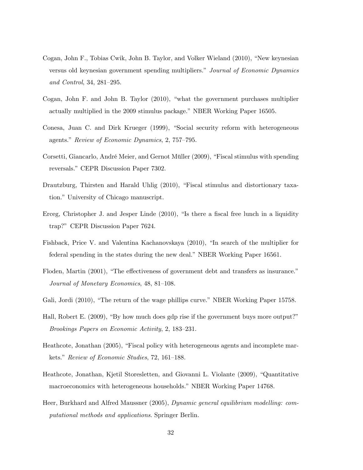- Cogan, John F., Tobias Cwik, John B. Taylor, and Volker Wieland (2010), "New keynesian versus old keynesian government spending multipliers." Journal of Economic Dynamics and Control, 34, 281-295.
- Cogan, John F. and John B. Taylor  $(2010)$ , "what the government purchases multiplier actually multiplied in the 2009 stimulus package." NBER Working Paper 16505.
- Conesa, Juan C. and Dirk Krueger (1999), "Social security reform with heterogeneous agents." Review of Economic Dynamics, 2, 757-795.
- Corsetti, Giancarlo, André Meier, and Gernot Müller (2009), "Fiscal stimulus with spending reversals." CEPR Discussion Paper 7302.
- Drautzburg, Thirsten and Harald Uhlig (2010), "Fiscal stimulus and distortionary taxation." University of Chicago manuscript.
- Erceg, Christopher J. and Jesper Linde  $(2010)$ , "Is there a fiscal free lunch in a liquidity trap?" CEPR Discussion Paper 7624.
- Fishback, Price V. and Valentina Kachanovskaya (2010), "In search of the multiplier for federal spending in the states during the new deal." NBER Working Paper 16561.
- Floden, Martin (2001), "The effectiveness of government debt and transfers as insurance." Journal of Monetary Economics, 48, 81-108.
- Gali, Jordi (2010), "The return of the wage phillips curve." NBER Working Paper 15758.
- Hall, Robert E.  $(2009)$ , "By how much does gdp rise if the government buys more output?" Brookings Papers on Economic Activity, 2, 183-231.
- Heathcote, Jonathan (2005), "Fiscal policy with heterogeneous agents and incomplete markets." Review of Economic Studies, 72, 161–188.
- Heathcote, Jonathan, Kjetil Storesletten, and Giovanni L. Violante (2009), "Quantitative macroeconomics with heterogeneous households." NBER Working Paper 14768.
- Heer, Burkhard and Alfred Maussner (2005), Dynamic general equilibrium modelling: computational methods and applications. Springer Berlin.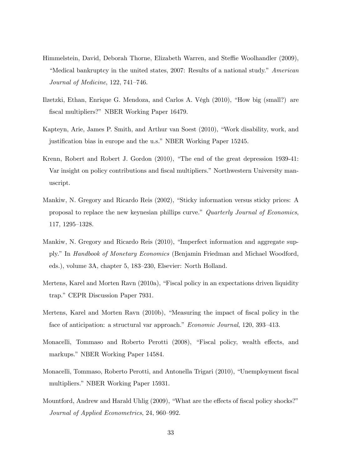- Himmelstein, David, Deborah Thorne, Elizabeth Warren, and Steffie Woolhandler (2009), "Medical bankruptcy in the united states,  $2007$ : Results of a national study." American Journal of Medicine,  $122, 741-746$ .
- Ilzetzki, Ethan, Enrique G. Mendoza, and Carlos A. Végh  $(2010)$ , "How big (small?) are fiscal multipliers?" NBER Working Paper 16479.
- Kapteyn, Arie, James P. Smith, and Arthur van Soest (2010), "Work disability, work, and justification bias in europe and the u.s." NBER Working Paper 15245.
- Krenn, Robert and Robert J. Gordon  $(2010)$ , "The end of the great depression 1939-41: Var insight on policy contributions and fiscal multipliers." Northwestern University manuscript.
- Mankiw, N. Gregory and Ricardo Reis (2002), "Sticky information versus sticky prices: A proposal to replace the new keynesian phillips curve." Quarterly Journal of Economics, 117, 1295-1328.
- Mankiw, N. Gregory and Ricardo Reis (2010), "Imperfect information and aggregate supply.î In Handbook of Monetary Economics (Benjamin Friedman and Michael Woodford, eds.), volume 3A, chapter 5, 183–230, Elsevier: North Holland.
- Mertens, Karel and Morten Ravn (2010a), "Fiscal policy in an expectations driven liquidity trap." CEPR Discussion Paper 7931.
- Mertens, Karel and Morten Ravn (2010b), "Measuring the impact of fiscal policy in the face of anticipation: a structural var approach." Economic Journal, 120, 393–413.
- Monacelli, Tommaso and Roberto Perotti (2008), "Fiscal policy, wealth effects, and markups." NBER Working Paper 14584.
- Monacelli, Tommaso, Roberto Perotti, and Antonella Trigari (2010), "Unemployment fiscal multipliers." NBER Working Paper 15931.
- Mountford, Andrew and Harald Uhlig (2009), "What are the effects of fiscal policy shocks?" Journal of Applied Econometrics, 24, 960–992.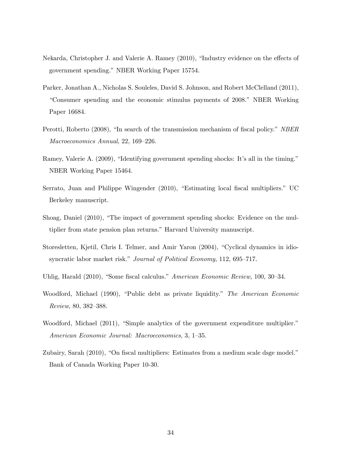- Nekarda, Christopher J. and Valerie A. Ramey (2010), "Industry evidence on the effects of government spending." NBER Working Paper 15754.
- Parker, Jonathan A., Nicholas S. Souleles, David S. Johnson, and Robert McClelland (2011), ìConsumer spending and the economic stimulus payments of 2008.î NBER Working Paper 16684.
- Perotti, Roberto (2008), "In search of the transmission mechanism of fiscal policy." NBER  $Macroeconomics Annual, 22, 169-226.$
- Ramey, Valerie A.  $(2009)$ , "Identifying government spending shocks: It's all in the timing." NBER Working Paper 15464.
- Serrato, Juan and Philippe Wingender (2010), "Estimating local fiscal multipliers." UC Berkeley manuscript.
- Shoag, Daniel (2010), "The impact of government spending shocks: Evidence on the multiplier from state pension plan returns." Harvard University manuscript.
- Storesletten, Kjetil, Chris I. Telmer, and Amir Yaron (2004), "Cyclical dynamics in idiosyncratic labor market risk." Journal of Political Economy, 112, 695-717.
- Uhlig, Harald  $(2010)$ , "Some fiscal calculus." American Economic Review, 100, 30–34.
- Woodford, Michael (1990), "Public debt as private liquidity." The American Economic Review, 80, 382–388.
- Woodford, Michael (2011), "Simple analytics of the government expenditure multiplier." American Economic Journal: Macroeconomics, 3, 1–35.
- Zubairy, Sarah (2010), "On fiscal multipliers: Estimates from a medium scale dsge model." Bank of Canada Working Paper 10-30.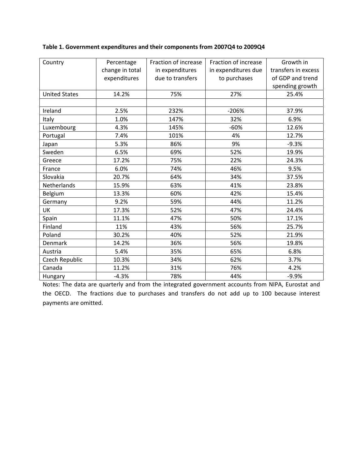|  |  | Table 1. Government expenditures and their components from 2007Q4 to 2009Q4 |  |
|--|--|-----------------------------------------------------------------------------|--|
|  |  |                                                                             |  |

| Country              | Percentage      | Fraction of increase | Fraction of increase | Growth in           |
|----------------------|-----------------|----------------------|----------------------|---------------------|
|                      | change in total | in expenditures      | in expenditures due  | transfers in excess |
|                      | expenditures    | due to transfers     | to purchases         | of GDP and trend    |
|                      |                 |                      |                      | spending growth     |
| <b>United States</b> | 14.2%           | 75%                  | 27%                  | 25.4%               |
|                      |                 |                      |                      |                     |
| Ireland              | 2.5%            | 232%                 | $-206%$              | 37.9%               |
| Italy                | 1.0%            | 147%                 | 32%                  | 6.9%                |
| Luxembourg           | 4.3%            | 145%                 | $-60%$               | 12.6%               |
| Portugal             | 7.4%            | 101%                 | 4%                   | 12.7%               |
| Japan                | 5.3%            | 86%                  | 9%                   | $-9.3%$             |
| Sweden               | 6.5%            | 69%                  | 52%                  | 19.9%               |
| Greece               | 17.2%           | 75%                  | 22%                  | 24.3%               |
| France               | 6.0%            | 74%                  | 46%                  | 9.5%                |
| Slovakia             | 20.7%           | 64%                  | 34%                  | 37.5%               |
| Netherlands          | 15.9%           | 63%                  | 41%                  | 23.8%               |
| Belgium              | 13.3%           | 60%                  | 42%                  | 15.4%               |
| Germany              | 9.2%            | 59%                  | 44%                  | 11.2%               |
| <b>UK</b>            | 17.3%           | 52%                  | 47%                  | 24.4%               |
| Spain                | 11.1%           | 47%                  | 50%                  | 17.1%               |
| Finland              | 11%             | 43%                  | 56%                  | 25.7%               |
| Poland               | 30.2%           | 40%                  | 52%                  | 21.9%               |
| Denmark              | 14.2%           | 36%                  | 56%                  | 19.8%               |
| Austria              | 5.4%            | 35%                  | 65%                  | 6.8%                |
| Czech Republic       | 10.3%           | 34%                  | 62%                  | 3.7%                |
| Canada               | 11.2%           | 31%                  | 76%                  | 4.2%                |
| Hungary              | $-4.3%$         | 78%                  | 44%                  | $-9.9%$             |

Notes: The data are quarterly and from the integrated government accounts from NIPA, Eurostat and the OECD. The fractions due to purchases and transfers do not add up to 100 because interest payments are omitted.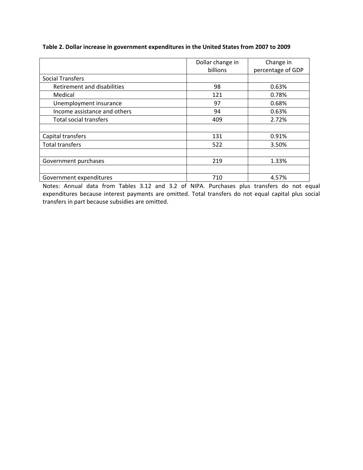|                              | Dollar change in | Change in         |
|------------------------------|------------------|-------------------|
|                              | billions         | percentage of GDP |
| <b>Social Transfers</b>      |                  |                   |
| Retirement and disabilities  | 98               | 0.63%             |
| Medical                      | 121              | 0.78%             |
| Unemployment insurance       | 97               | 0.68%             |
| Income assistance and others | 94               | 0.63%             |
| Total social transfers       | 409              | 2.72%             |
|                              |                  |                   |
| Capital transfers            | 131              | 0.91%             |
| <b>Total transfers</b>       | 522              | 3.50%             |
|                              |                  |                   |
| Government purchases         | 219              | 1.33%             |
|                              |                  |                   |
| Government expenditures      | 710              | 4.57%             |

#### **Table 2. Dollar increase in government expenditures in the United States from 2007 to 2009**

Notes: Annual data from Tables 3.12 and 3.2 of NIPA. Purchases plus transfers do not equal expenditures because interest payments are omitted. Total transfers do not equal capital plus social transfers in part because subsidies are omitted.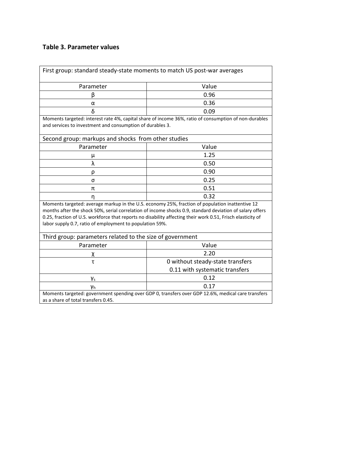# **Table 3. Parameter values**

| First group: standard steady-state moments to match US post-war averages |                                                                                                                                                                                                                                                                                                                            |  |
|--------------------------------------------------------------------------|----------------------------------------------------------------------------------------------------------------------------------------------------------------------------------------------------------------------------------------------------------------------------------------------------------------------------|--|
| Parameter                                                                | Value                                                                                                                                                                                                                                                                                                                      |  |
| β                                                                        | 0.96                                                                                                                                                                                                                                                                                                                       |  |
| α                                                                        | 0.36                                                                                                                                                                                                                                                                                                                       |  |
| δ                                                                        | 0.09                                                                                                                                                                                                                                                                                                                       |  |
| and services to investment and consumption of durables 3.                | Moments targeted: interest rate 4%, capital share of income 36%, ratio of consumption of non-durables                                                                                                                                                                                                                      |  |
| Second group: markups and shocks from other studies                      |                                                                                                                                                                                                                                                                                                                            |  |
| Parameter                                                                | Value                                                                                                                                                                                                                                                                                                                      |  |
| μ                                                                        | 1.25                                                                                                                                                                                                                                                                                                                       |  |
| λ                                                                        | 0.50                                                                                                                                                                                                                                                                                                                       |  |
| ρ                                                                        | 0.90                                                                                                                                                                                                                                                                                                                       |  |
| σ                                                                        | 0.25                                                                                                                                                                                                                                                                                                                       |  |
| π                                                                        | 0.51                                                                                                                                                                                                                                                                                                                       |  |
| η                                                                        | 0.32                                                                                                                                                                                                                                                                                                                       |  |
| labor supply 0.7, ratio of employment to population 59%.                 | Moments targeted: average markup in the U.S. economy 25%, fraction of population inattentive 12<br>months after the shock 50%, serial correlation of income shocks 0.9, standard deviation of salary offers<br>0.25, fraction of U.S. workforce that reports no disability affecting their work 0.51, Frisch elasticity of |  |
| Third group: parameters related to the size of government                |                                                                                                                                                                                                                                                                                                                            |  |
| Parameter                                                                | Value                                                                                                                                                                                                                                                                                                                      |  |
| χ                                                                        | 2.20                                                                                                                                                                                                                                                                                                                       |  |
| τ                                                                        | 0 without steady-state transfers                                                                                                                                                                                                                                                                                           |  |
|                                                                          | 0.11 with systematic transfers                                                                                                                                                                                                                                                                                             |  |
| Ys                                                                       | 0.12                                                                                                                                                                                                                                                                                                                       |  |
| Yh                                                                       | 0.17                                                                                                                                                                                                                                                                                                                       |  |
| as a share of total transfers 0.45.                                      | Moments targeted: government spending over GDP 0, transfers over GDP 12.6%, medical care transfers                                                                                                                                                                                                                         |  |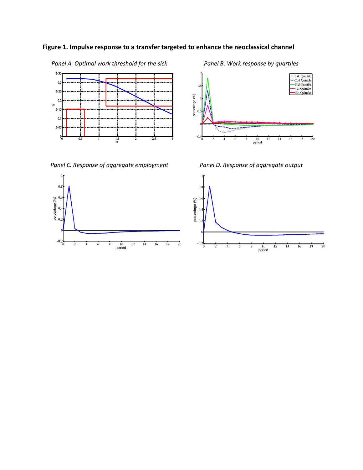## **Figure 1. Impulse response to a transfer targeted to enhance the neoclassical channel**

 $18\,$ 

*Panel A. Optimal work threshold for the sick Panel B. Work response by quartiles*



*Panel C. Response of aggregate employment Panel D. Response of aggregate output*

 $\frac{10}{\text{period}}$ 

 $12$  $14$  $\overline{16}$ 

 $0.3$ 

 $\frac{1}{2}$  or  $\frac{1}{2}$  or  $\frac{1}{2}$  or  $\frac{1}{2}$  or  $\frac{1}{2}$  or  $\frac{1}{2}$  or  $\frac{1}{2}$  or  $\frac{1}{2}$  or  $\frac{1}{2}$  or  $\frac{1}{2}$  or  $\frac{1}{2}$  or  $\frac{1}{2}$  or  $\frac{1}{2}$  or  $\frac{1}{2}$  or  $\frac{1}{2}$  or  $\frac{1}{2}$  or  $\frac{1}{2}$  or  $\boldsymbol{0}$ .

 $-0.2$ 

õ

 $\overline{4}$  $\overline{6}$ 



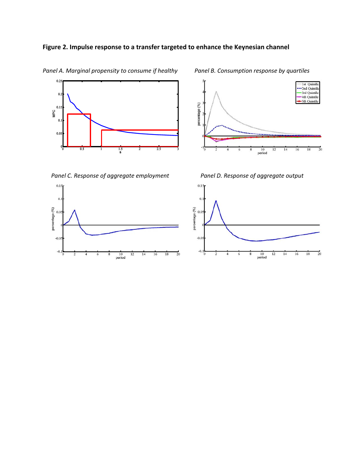# **Figure 2. Impulse response to a transfer targeted to enhance the Keynesian channel**

*Panel A. Marginal propensity to consume if healthy Panel B. Consumption response by quartiles*



*Panel C. Response of aggregate employment Panel D. Response of aggregate output*

 $\frac{10}{\text{period}}$ 

 $14$ 

12

18

16

 $0.15$ 

 $\overline{0}$ .

 $0.05$ 

 $-0.05$ 

 $-0.16$ 

percentage (%)